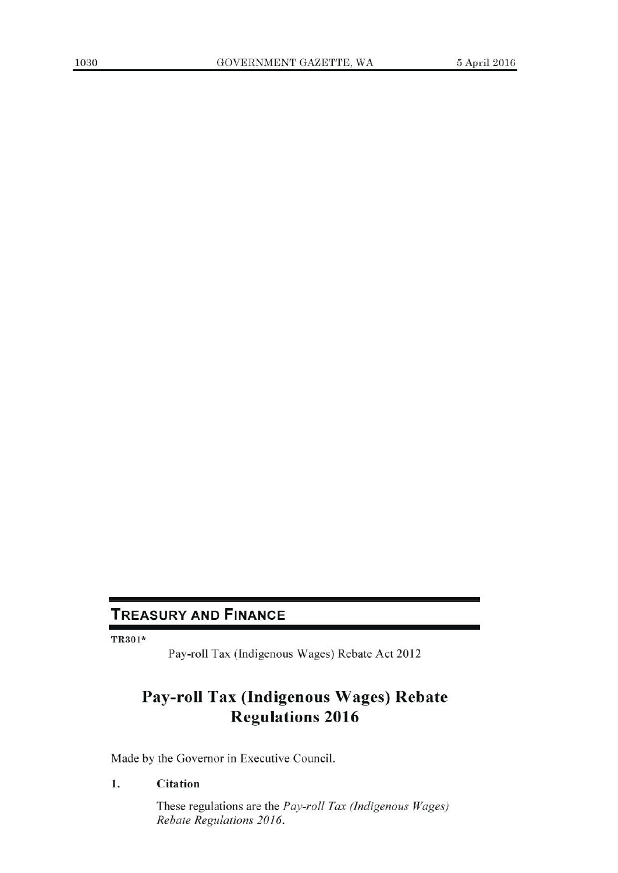## TREASURY AND FINANCE

TR3ol\*

Pay-roll Tax (Indigenous Wages) Rebate Act 2012

# **Pay-roll Tax (Indigenous Wages) Rebate Regulations 2016**

Made by the Governor in Executive Council.

#### **1. Citation**

These regulations are the *Pay-roll Tax (Indigenous Wages) Rebate Regulations 2016.*